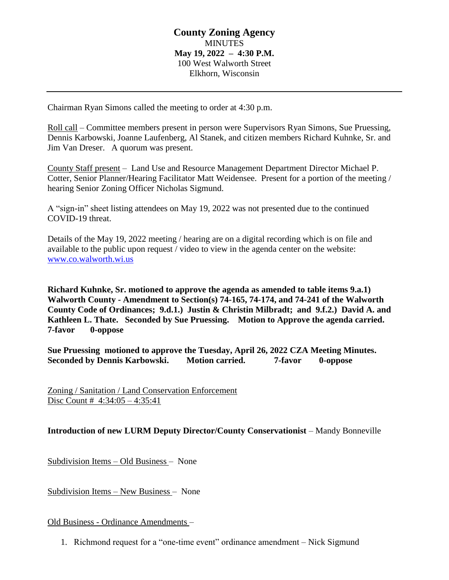## **County Zoning Agency MINUTES May 19, 2022 – 4:30 P.M.** 100 West Walworth Street Elkhorn, Wisconsin

Chairman Ryan Simons called the meeting to order at 4:30 p.m.

Roll call – Committee members present in person were Supervisors Ryan Simons, Sue Pruessing, Dennis Karbowski, Joanne Laufenberg, Al Stanek, and citizen members Richard Kuhnke, Sr. and Jim Van Dreser. A quorum was present.

County Staff present – Land Use and Resource Management Department Director Michael P. Cotter, Senior Planner/Hearing Facilitator Matt Weidensee. Present for a portion of the meeting / hearing Senior Zoning Officer Nicholas Sigmund.

A "sign-in" sheet listing attendees on May 19, 2022 was not presented due to the continued COVID-19 threat.

Details of the May 19, 2022 meeting / hearing are on a digital recording which is on file and available to the public upon request / video to view in the agenda center on the website: [www.co.walworth.wi.us](http://www.co.walworth.wi.us/)

**Richard Kuhnke, Sr. motioned to approve the agenda as amended to table items 9.a.1) Walworth County - Amendment to Section(s) 74-165, 74-174, and 74-241 of the Walworth County Code of Ordinances; 9.d.1.) Justin & Christin Milbradt; and 9.f.2.) David A. and Kathleen L. Thate. Seconded by Sue Pruessing. Motion to Approve the agenda carried. 7-favor 0-oppose**

**Sue Pruessing motioned to approve the Tuesday, April 26, 2022 CZA Meeting Minutes. Seconded by Dennis Karbowski. Motion carried. 7-favor 0-oppose**

Zoning / Sanitation / Land Conservation Enforcement Disc Count # 4:34:05 – 4:35:41

**Introduction of new LURM Deputy Director/County Conservationist** – Mandy Bonneville

Subdivision Items – Old Business – None

Subdivision Items – New Business – None

Old Business - Ordinance Amendments –

1. Richmond request for a "one-time event" ordinance amendment – Nick Sigmund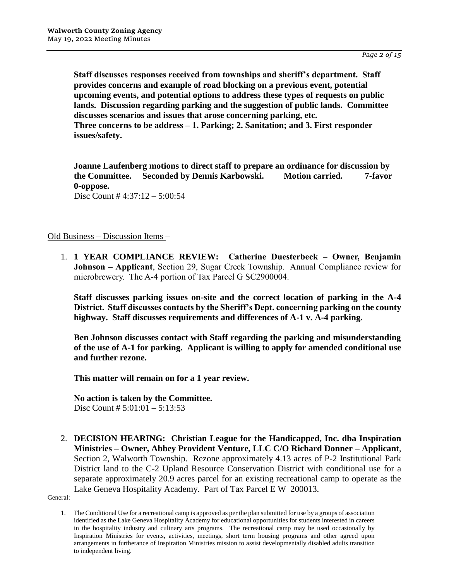**Staff discusses responses received from townships and sheriff's department. Staff provides concerns and example of road blocking on a previous event, potential upcoming events, and potential options to address these types of requests on public lands. Discussion regarding parking and the suggestion of public lands. Committee discusses scenarios and issues that arose concerning parking, etc. Three concerns to be address – 1. Parking; 2. Sanitation; and 3. First responder issues/safety.**

**Joanne Laufenberg motions to direct staff to prepare an ordinance for discussion by the Committee. Seconded by Dennis Karbowski. Motion carried. 7-favor 0-oppose.** Disc Count # 4:37:12 – 5:00:54

Old Business – Discussion Items –

1. **1 YEAR COMPLIANCE REVIEW: Catherine Duesterbeck – Owner, Benjamin Johnson – Applicant**, Section 29, Sugar Creek Township. Annual Compliance review for microbrewery. The A-4 portion of Tax Parcel G SC2900004.

**Staff discusses parking issues on-site and the correct location of parking in the A-4 District. Staff discusses contacts by the Sheriff's Dept. concerning parking on the county highway. Staff discusses requirements and differences of A-1 v. A-4 parking.**

**Ben Johnson discusses contact with Staff regarding the parking and misunderstanding of the use of A-1 for parking. Applicant is willing to apply for amended conditional use and further rezone.**

**This matter will remain on for a 1 year review.**

**No action is taken by the Committee.** Disc Count #  $5:01:01 - 5:13:53$ 

2. **DECISION HEARING: Christian League for the Handicapped, Inc. dba Inspiration Ministries – Owner, Abbey Provident Venture, LLC C/O Richard Donner – Applicant**, Section 2, Walworth Township. Rezone approximately 4.13 acres of P-2 Institutional Park District land to the C-2 Upland Resource Conservation District with conditional use for a separate approximately 20.9 acres parcel for an existing recreational camp to operate as the Lake Geneva Hospitality Academy. Part of Tax Parcel E W 200013.

General:

<sup>1.</sup> The Conditional Use for a recreational camp is approved as per the plan submitted for use by a groups of association identified as the Lake Geneva Hospitality Academy for educational opportunities for students interested in careers in the hospitality industry and culinary arts programs. The recreational camp may be used occasionally by Inspiration Ministries for events, activities, meetings, short term housing programs and other agreed upon arrangements in furtherance of Inspiration Ministries mission to assist developmentally disabled adults transition to independent living.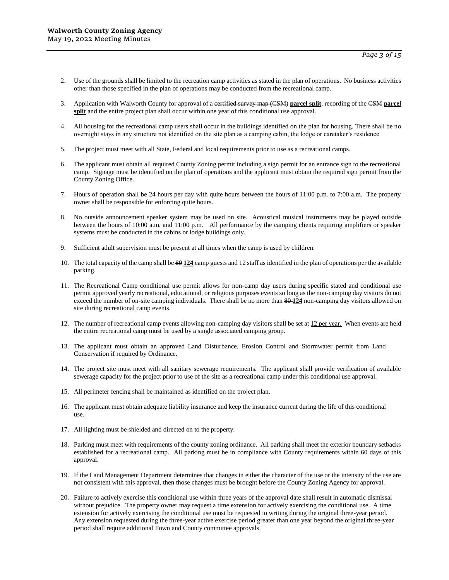- 2. Use of the grounds shall be limited to the recreation camp activities as stated in the plan of operations. No business activities other than those specified in the plan of operations may be conducted from the recreational camp.
- 3. Application with Walworth County for approval of a certified survey map (CSM) **parcel split**, recording of the CSM **parcel split** and the entire project plan shall occur within one year of this conditional use approval.
- 4. All housing for the recreational camp users shall occur in the buildings identified on the plan for housing. There shall be no overnight stays in any structure not identified on the site plan as a camping cabin, the lodge or caretaker's residence.
- 5. The project must meet with all State, Federal and local requirements prior to use as a recreational camps.
- 6. The applicant must obtain all required County Zoning permit including a sign permit for an entrance sign to the recreational camp. Signage must be identified on the plan of operations and the applicant must obtain the required sign permit from the County Zoning Office.
- 7. Hours of operation shall be 24 hours per day with quite hours between the hours of 11:00 p.m. to 7:00 a.m. The property owner shall be responsible for enforcing quite hours.
- 8. No outside announcement speaker system may be used on site. Acoustical musical instruments may be played outside between the hours of 10:00 a.m. and 11:00 p.m. All performance by the camping clients requiring amplifiers or speaker systems must be conducted in the cabins or lodge buildings only.
- 9. Sufficient adult supervision must be present at all times when the camp is used by children.
- 10. The total capacity of the camp shall be 80 **124** camp guests and 12 staff as identified in the plan of operations per the available parking.
- 11. The Recreational Camp conditional use permit allows for non-camp day users during specific stated and conditional use permit approved yearly recreational, educational, or religious purposes events so long as the non-camping day visitors do not exceed the number of on-site camping individuals. There shall be no more than  $\frac{40.124}{20}$  non-camping day visitors allowed on site during recreational camp events.
- 12. The number of recreational camp events allowing non-camping day visitors shall be set at 12 per year. When events are held the entire recreational camp must be used by a single associated camping group.
- 13. The applicant must obtain an approved Land Disturbance, Erosion Control and Stormwater permit from Land Conservation if required by Ordinance.
- 14. The project site must meet with all sanitary sewerage requirements. The applicant shall provide verification of available sewerage capacity for the project prior to use of the site as a recreational camp under this conditional use approval.
- 15. All perimeter fencing shall be maintained as identified on the project plan.
- 16. The applicant must obtain adequate liability insurance and keep the insurance current during the life of this conditional use.
- 17. All lighting must be shielded and directed on to the property.
- 18. Parking must meet with requirements of the county zoning ordinance. All parking shall meet the exterior boundary setbacks established for a recreational camp. All parking must be in compliance with County requirements within 60 days of this approval.
- 19. If the Land Management Department determines that changes in either the character of the use or the intensity of the use are not consistent with this approval, then those changes must be brought before the County Zoning Agency for approval.
- 20. Failure to actively exercise this conditional use within three years of the approval date shall result in automatic dismissal without prejudice. The property owner may request a time extension for actively exercising the conditional use. A time extension for actively exercising the conditional use must be requested in writing during the original three-year period. Any extension requested during the three-year active exercise period greater than one year beyond the original three-year period shall require additional Town and County committee approvals.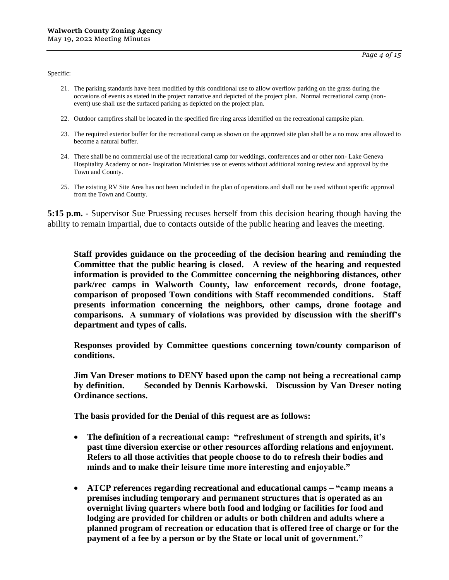Specific:

- 21. The parking standards have been modified by this conditional use to allow overflow parking on the grass during the occasions of events as stated in the project narrative and depicted of the project plan. Normal recreational camp (nonevent) use shall use the surfaced parking as depicted on the project plan.
- 22. Outdoor campfires shall be located in the specified fire ring areas identified on the recreational campsite plan.
- 23. The required exterior buffer for the recreational camp as shown on the approved site plan shall be a no mow area allowed to become a natural buffer.
- 24. There shall be no commercial use of the recreational camp for weddings, conferences and or other non- Lake Geneva Hospitality Academy or non- Inspiration Ministries use or events without additional zoning review and approval by the Town and County.
- 25. The existing RV Site Area has not been included in the plan of operations and shall not be used without specific approval from the Town and County.

**5:15 p.m.** - Supervisor Sue Pruessing recuses herself from this decision hearing though having the ability to remain impartial, due to contacts outside of the public hearing and leaves the meeting.

**Staff provides guidance on the proceeding of the decision hearing and reminding the Committee that the public hearing is closed. A review of the hearing and requested information is provided to the Committee concerning the neighboring distances, other park/rec camps in Walworth County, law enforcement records, drone footage, comparison of proposed Town conditions with Staff recommended conditions. Staff presents information concerning the neighbors, other camps, drone footage and comparisons. A summary of violations was provided by discussion with the sheriff's department and types of calls.**

**Responses provided by Committee questions concerning town/county comparison of conditions.**

**Jim Van Dreser motions to DENY based upon the camp not being a recreational camp by definition. Seconded by Dennis Karbowski. Discussion by Van Dreser noting Ordinance sections.** 

**The basis provided for the Denial of this request are as follows:**

- **The definition of a recreational camp: "refreshment of strength and spirits, it's past time diversion exercise or other resources affording relations and enjoyment. Refers to all those activities that people choose to do to refresh their bodies and minds and to make their leisure time more interesting and enjoyable."**
- **ATCP references regarding recreational and educational camps – "camp means a premises including temporary and permanent structures that is operated as an overnight living quarters where both food and lodging or facilities for food and lodging are provided for children or adults or both children and adults where a planned program of recreation or education that is offered free of charge or for the payment of a fee by a person or by the State or local unit of government."**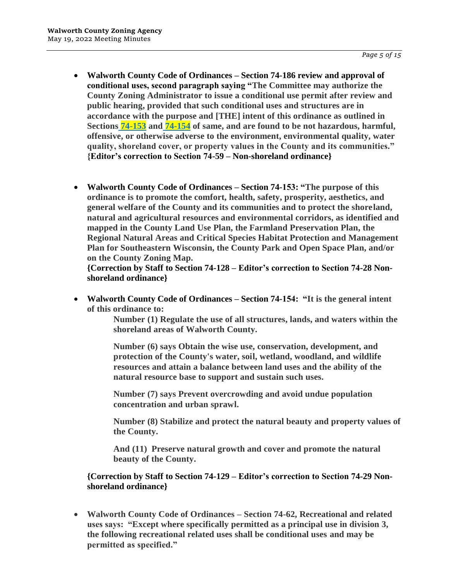- **Walworth County Code of Ordinances – Section 74-186 review and approval of conditional uses, second paragraph saying "The Committee may authorize the County Zoning Administrator to issue a conditional use permit after review and public hearing, provided that such conditional uses and structures are in accordance with the purpose and [THE] intent of this ordinance as outlined in Sections [74-153](https://library.municode.com/wi/walworth_county/codes/code_of_ordinances?nodeId=WACOCOOR_CH74ZO_ARTIIISHZOOR_DIV1IN_S74-153PU) and [74-154](https://library.municode.com/wi/walworth_county/codes/code_of_ordinances?nodeId=WACOCOOR_CH74ZO_ARTIIISHZOOR_DIV1IN_S74-154IN) of same, and are found to be not hazardous, harmful, offensive, or otherwise adverse to the environment, environmental quality, water quality, shoreland cover, or property values in the County and its communities." {Editor's correction to Section 74-59 – Non-shoreland ordinance}**
- **Walworth County Code of Ordinances – Section 74-153: "The purpose of this ordinance is to promote the comfort, health, safety, prosperity, aesthetics, and general welfare of the County and its communities and to protect the shoreland, natural and agricultural resources and environmental corridors, as identified and mapped in the County Land Use Plan, the Farmland Preservation Plan, the Regional Natural Areas and Critical Species Habitat Protection and Management Plan for Southeastern Wisconsin, the County Park and Open Space Plan, and/or on the County Zoning Map.**

**{Correction by Staff to Section 74-128 – Editor's correction to Section 74-28 Nonshoreland ordinance}**

 **Walworth County Code of Ordinances – Section 74-154: "It is the general intent of this ordinance to:** 

> **Number (1) Regulate the use of all structures, lands, and waters within the shoreland areas of Walworth County.**

**Number (6) says Obtain the wise use, conservation, development, and protection of the County's water, soil, wetland, woodland, and wildlife resources and attain a balance between land uses and the ability of the natural resource base to support and sustain such uses.**

**Number (7) says Prevent overcrowding and avoid undue population concentration and urban sprawl.** 

**Number (8) Stabilize and protect the natural beauty and property values of the County.** 

**And (11) Preserve natural growth and cover and promote the natural beauty of the County.**

**{Correction by Staff to Section 74-129 – Editor's correction to Section 74-29 Nonshoreland ordinance}**

 **Walworth County Code of Ordinances – Section 74-62, Recreational and related uses says: "Except where specifically permitted as a principal use in division 3, the following recreational related uses shall be conditional uses and may be permitted as specified."**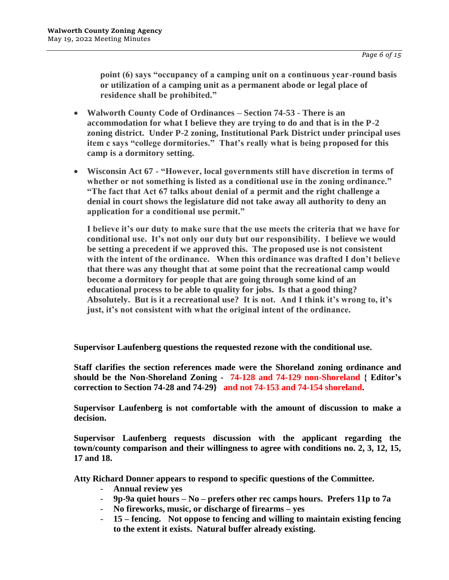**point (6) says "occupancy of a camping unit on a continuous year-round basis or utilization of a camping unit as a permanent abode or legal place of residence shall be prohibited."**

- **Walworth County Code of Ordinances – Section 74-53 - There is an accommodation for what I believe they are trying to do and that is in the P-2 zoning district. Under P-2 zoning, Institutional Park District under principal uses item c says "college dormitories." That's really what is being proposed for this camp is a dormitory setting.**
- **Wisconsin Act 67 - "However, local governments still have discretion in terms of whether or not something is listed as a conditional use in the zoning ordinance." "The fact that Act 67 talks about denial of a permit and the right challenge a denial in court shows the legislature did not take away all authority to deny an application for a conditional use permit."**

**I believe it's our duty to make sure that the use meets the criteria that we have for conditional use. It's not only our duty but our responsibility. I believe we would be setting a precedent if we approved this. The proposed use is not consistent with the intent of the ordinance. When this ordinance was drafted I don't believe that there was any thought that at some point that the recreational camp would become a dormitory for people that are going through some kind of an educational process to be able to quality for jobs. Is that a good thing? Absolutely. But is it a recreational use? It is not. And I think it's wrong to, it's just, it's not consistent with what the original intent of the ordinance.**

**Supervisor Laufenberg questions the requested rezone with the conditional use.**

**Staff clarifies the section references made were the Shoreland zoning ordinance and should be the Non-Shoreland Zoning - 74-128 and 74-129 non-Shoreland { Editor's correction to Section 74-28 and 74-29} and not 74-153 and 74-154 shoreland.**

**Supervisor Laufenberg is not comfortable with the amount of discussion to make a decision.**

**Supervisor Laufenberg requests discussion with the applicant regarding the town/county comparison and their willingness to agree with conditions no. 2, 3, 12, 15, 17 and 18.**

**Atty Richard Donner appears to respond to specific questions of the Committee.**

- **Annual review yes**
- **9p-9a quiet hours – No – prefers other rec camps hours. Prefers 11p to 7a**
- **No fireworks, music, or discharge of firearms – yes**
- **15 – fencing. Not oppose to fencing and willing to maintain existing fencing to the extent it exists. Natural buffer already existing.**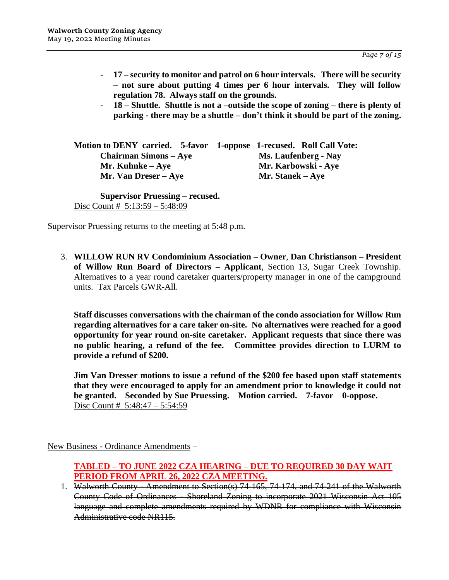- **17 – security to monitor and patrol on 6 hour intervals. There will be security – not sure about putting 4 times per 6 hour intervals. They will follow regulation 78. Always staff on the grounds.**
- **18 – Shuttle. Shuttle is not a –outside the scope of zoning – there is plenty of parking - there may be a shuttle – don't think it should be part of the zoning.**

**Motion to DENY carried. 5-favor 1-oppose 1-recused. Roll Call Vote: Chairman Simons – Aye Ms. Laufenberg - Nay Mr. Kuhnke – Aye Mr. Karbowski - Aye Mr. Van Dreser – Aye Mr. Stanek – Aye**

**Supervisor Pruessing – recused.** Disc Count # 5:13:59 – 5:48:09

Supervisor Pruessing returns to the meeting at 5:48 p.m.

3. **WILLOW RUN RV Condominium Association – Owner**, **Dan Christianson – President of Willow Run Board of Directors – Applicant**, Section 13, Sugar Creek Township. Alternatives to a year round caretaker quarters/property manager in one of the campground units. Tax Parcels GWR-All.

**Staff discusses conversations with the chairman of the condo association for Willow Run regarding alternatives for a care taker on-site. No alternatives were reached for a good opportunity for year round on-site caretaker. Applicant requests that since there was no public hearing, a refund of the fee. Committee provides direction to LURM to provide a refund of \$200.**

**Jim Van Dresser motions to issue a refund of the \$200 fee based upon staff statements that they were encouraged to apply for an amendment prior to knowledge it could not be granted. Seconded by Sue Pruessing. Motion carried. 7-favor 0-oppose.** Disc Count # 5:48:47 – 5:54:59

New Business - Ordinance Amendments –

- **TABLED – TO JUNE 2022 CZA HEARING – DUE TO REQUIRED 30 DAY WAIT PERIOD FROM APRIL 26, 2022 CZA MEETING.**
- 1. Walworth County Amendment to Section(s) 74-165, 74-174, and 74-241 of the Walworth County Code of Ordinances - Shoreland Zoning to incorporate 2021 Wisconsin Act 105 language and complete amendments required by WDNR for compliance with Wisconsin Administrative code NR115.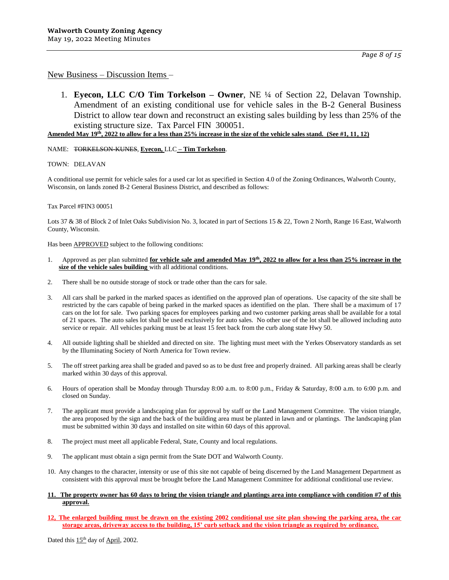1. **Eyecon, LLC C/O Tim Torkelson – Owner**, NE ¼ of Section 22, Delavan Township. Amendment of an existing conditional use for vehicle sales in the B-2 General Business District to allow tear down and reconstruct an existing sales building by less than 25% of the

existing structure size. Tax Parcel FIN 300051. **Amended May 19th, 2022 to allow for a less than 25% increase in the size of the vehicle sales stand. (See #1, 11, 12)**

#### NAME: TORKELSON-KUNES, **Eyecon,** LLC **– Tim Torkelson**.

TOWN: DELAVAN

A conditional use permit for vehicle sales for a used car lot as specified in Section 4.0 of the Zoning Ordinances, Walworth County, Wisconsin, on lands zoned B-2 General Business District, and described as follows:

#### Tax Parcel #FIN3 00051

Lots 37 & 38 of Block 2 of Inlet Oaks Subdivision No. 3, located in part of Sections 15 & 22, Town 2 North, Range 16 East, Walworth County, Wisconsin.

Has been **APPROVED** subject to the following conditions:

- 1. Approved as per plan submitted **for vehicle sale and amended May 19th, 2022 to allow for a less than 25% increase in the size of the vehicle sales building** with all additional conditions.
- 2. There shall be no outside storage of stock or trade other than the cars for sale.
- 3. All cars shall be parked in the marked spaces as identified on the approved plan of operations. Use capacity of the site shall be restricted by the cars capable of being parked in the marked spaces as identified on the plan. There shall be a maximum of 17 cars on the lot for sale. Two parking spaces for employees parking and two customer parking areas shall be available for a total of 21 spaces. The auto sales lot shall be used exclusively for auto sales. No other use of the lot shall be allowed including auto service or repair. All vehicles parking must be at least 15 feet back from the curb along state Hwy 50.
- 4. All outside lighting shall be shielded and directed on site. The lighting must meet with the Yerkes Observatory standards as set by the Illuminating Society of North America for Town review.
- 5. The off street parking area shall be graded and paved so as to be dust free and properly drained. All parking areas shall be clearly marked within 30 days of this approval.
- 6. Hours of operation shall be Monday through Thursday 8:00 a.m. to 8:00 p.m., Friday & Saturday, 8:00 a.m. to 6:00 p.m. and closed on Sunday.
- 7. The applicant must provide a landscaping plan for approval by staff or the Land Management Committee. The vision triangle, the area proposed by the sign and the back of the building area must be planted in lawn and or plantings. The landscaping plan must be submitted within 30 days and installed on site within 60 days of this approval.
- 8. The project must meet all applicable Federal, State, County and local regulations.
- 9. The applicant must obtain a sign permit from the State DOT and Walworth County.
- 10. Any changes to the character, intensity or use of this site not capable of being discerned by the Land Management Department as consistent with this approval must be brought before the Land Management Committee for additional conditional use review.

#### **11. The property owner has 60 days to bring the vision triangle and plantings area into compliance with condition #7 of this approval.**

**12, The enlarged building must be drawn on the existing 2002 conditional use site plan showing the parking area, the car storage areas, driveway access to the building, 15' curb setback and the vision triangle as required by ordinance.**

Dated this 15<sup>th</sup> day of April, 2002.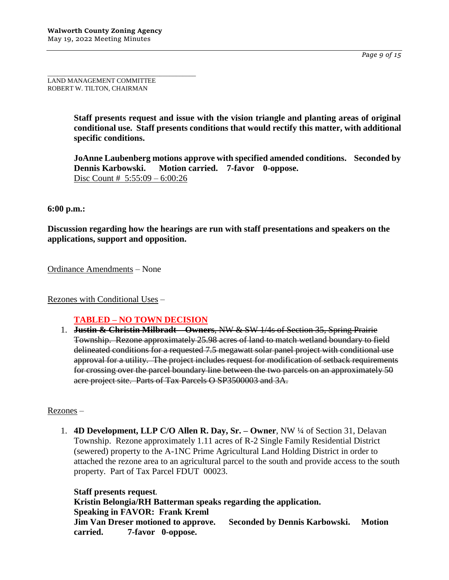*Page 9 of 15*

\_\_\_\_\_\_\_\_\_\_\_\_\_\_\_\_\_\_\_\_\_\_\_\_\_\_\_\_\_\_\_\_\_\_\_\_\_\_\_\_\_\_\_\_\_ LAND MANAGEMENT COMMITTEE ROBERT W. TILTON, CHAIRMAN

> **Staff presents request and issue with the vision triangle and planting areas of original conditional use. Staff presents conditions that would rectify this matter, with additional specific conditions.**

> **JoAnne Laubenberg motions approve with specified amended conditions. Seconded by Dennis Karbowski. Motion carried. 7-favor 0-oppose.** Disc Count # 5:55:09 – 6:00:26

### **6:00 p.m.:**

**Discussion regarding how the hearings are run with staff presentations and speakers on the applications, support and opposition.**

Ordinance Amendments – None

Rezones with Conditional Uses –

### **TABLED – NO TOWN DECISION**

1. **Justin & Christin Milbradt – Owners**, NW & SW 1/4s of Section 35, Spring Prairie Township. Rezone approximately 25.98 acres of land to match wetland boundary to field delineated conditions for a requested 7.5 megawatt solar panel project with conditional use approval for a utility. The project includes request for modification of setback requirements for crossing over the parcel boundary line between the two parcels on an approximately 50 acre project site. Parts of Tax Parcels O SP3500003 and 3A.

### Rezones –

1. **4D Development, LLP C/O Allen R. Day, Sr. – Owner**, NW ¼ of Section 31, Delavan Township. Rezone approximately 1.11 acres of R-2 Single Family Residential District (sewered) property to the A-1NC Prime Agricultural Land Holding District in order to attached the rezone area to an agricultural parcel to the south and provide access to the south property. Part of Tax Parcel FDUT 00023.

**Staff presents request. Kristin Belongia/RH Batterman speaks regarding the application. Speaking in FAVOR: Frank Kreml Jim Van Dreser motioned to approve. Seconded by Dennis Karbowski. Motion carried. 7-favor 0-oppose.**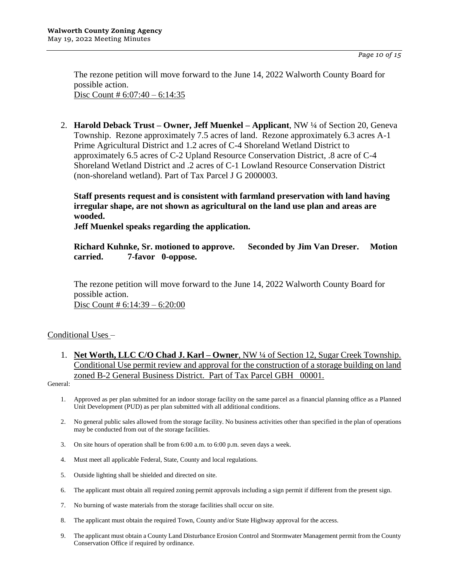The rezone petition will move forward to the June 14, 2022 Walworth County Board for possible action. Disc Count #  $6:07:40 - 6:14:35$ 

2. **Harold Deback Trust – Owner, Jeff Muenkel – Applicant**, NW ¼ of Section 20, Geneva Township. Rezone approximately 7.5 acres of land. Rezone approximately 6.3 acres A-1 Prime Agricultural District and 1.2 acres of C-4 Shoreland Wetland District to approximately 6.5 acres of C-2 Upland Resource Conservation District, .8 acre of C-4 Shoreland Wetland District and .2 acres of C-1 Lowland Resource Conservation District (non-shoreland wetland). Part of Tax Parcel J G 2000003.

**Staff presents request and is consistent with farmland preservation with land having irregular shape, are not shown as agricultural on the land use plan and areas are wooded.**

**Jeff Muenkel speaks regarding the application.**

**Richard Kuhnke, Sr. motioned to approve. Seconded by Jim Van Dreser. Motion carried. 7-favor 0-oppose.**

The rezone petition will move forward to the June 14, 2022 Walworth County Board for possible action. Disc Count # 6:14:39 – 6:20:00

Conditional Uses –

1. **Net Worth, LLC C/O Chad J. Karl – Owner**, NW ¼ of Section 12, Sugar Creek Township. Conditional Use permit review and approval for the construction of a storage building on land zoned B-2 General Business District. Part of Tax Parcel GBH 00001.

General:

- 1. Approved as per plan submitted for an indoor storage facility on the same parcel as a financial planning office as a Planned Unit Development (PUD) as per plan submitted with all additional conditions.
- 2. No general public sales allowed from the storage facility. No business activities other than specified in the plan of operations may be conducted from out of the storage facilities.
- 3. On site hours of operation shall be from 6:00 a.m. to 6:00 p.m. seven days a week.
- 4. Must meet all applicable Federal, State, County and local regulations.
- 5. Outside lighting shall be shielded and directed on site.
- 6. The applicant must obtain all required zoning permit approvals including a sign permit if different from the present sign.
- 7. No burning of waste materials from the storage facilities shall occur on site.
- 8. The applicant must obtain the required Town, County and/or State Highway approval for the access.
- 9. The applicant must obtain a County Land Disturbance Erosion Control and Stormwater Management permit from the County Conservation Office if required by ordinance.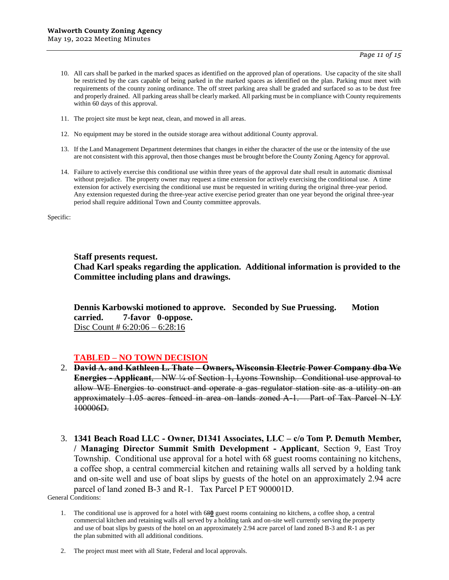*Page 11 of 15*

- 10. All cars shall be parked in the marked spaces as identified on the approved plan of operations. Use capacity of the site shall be restricted by the cars capable of being parked in the marked spaces as identified on the plan. Parking must meet with requirements of the county zoning ordinance. The off street parking area shall be graded and surfaced so as to be dust free and properly drained. All parking areas shall be clearly marked. All parking must be in compliance with County requirements within 60 days of this approval.
- 11. The project site must be kept neat, clean, and mowed in all areas.
- 12. No equipment may be stored in the outside storage area without additional County approval.
- 13. If the Land Management Department determines that changes in either the character of the use or the intensity of the use are not consistent with this approval, then those changes must be brought before the County Zoning Agency for approval.
- 14. Failure to actively exercise this conditional use within three years of the approval date shall result in automatic dismissal without prejudice. The property owner may request a time extension for actively exercising the conditional use. A time extension for actively exercising the conditional use must be requested in writing during the original three-year period. Any extension requested during the three-year active exercise period greater than one year beyond the original three-year period shall require additional Town and County committee approvals.

Specific:

**Staff presents request.**

**Chad Karl speaks regarding the application. Additional information is provided to the Committee including plans and drawings.** 

**Dennis Karbowski motioned to approve. Seconded by Sue Pruessing. Motion carried. 7-favor 0-oppose.**  Disc Count # 6:20:06 – 6:28:16

### **TABLED – NO TOWN DECISION**

- 2. **David A. and Kathleen L. Thate – Owners, Wisconsin Electric Power Company dba We Energies - Applicant**, NW ¼ of Section 1, Lyons Township. Conditional use approval to allow WE Energies to construct and operate a gas regulator station site as a utility on an approximately 1.05 acres fenced in area on lands zoned A-1. Part of Tax Parcel N LY 100006D.
- 3. **1341 Beach Road LLC - Owner, D1341 Associates, LLC – c/o Tom P. Demuth Member, / Managing Director Summit Smith Development - Applicant**, Section 9, East Troy Township. Conditional use approval for a hotel with 68 guest rooms containing no kitchens, a coffee shop, a central commercial kitchen and retaining walls all served by a holding tank and on-site well and use of boat slips by guests of the hotel on an approximately 2.94 acre parcel of land zoned B-3 and R-1. Tax Parcel P ET 900001D.

General Conditions:

2. The project must meet with all State, Federal and local approvals.

<sup>1.</sup> The conditional use is approved for a hotel with 68**0** guest rooms containing no kitchens, a coffee shop, a central commercial kitchen and retaining walls all served by a holding tank and on-site well currently serving the property and use of boat slips by guests of the hotel on an approximately 2.94 acre parcel of land zoned B-3 and R-1 as per the plan submitted with all additional conditions.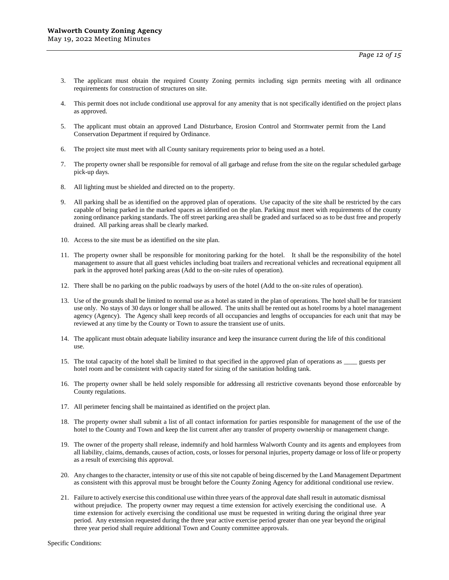- 3. The applicant must obtain the required County Zoning permits including sign permits meeting with all ordinance requirements for construction of structures on site.
- 4. This permit does not include conditional use approval for any amenity that is not specifically identified on the project plans as approved.
- 5. The applicant must obtain an approved Land Disturbance, Erosion Control and Stormwater permit from the Land Conservation Department if required by Ordinance.
- 6. The project site must meet with all County sanitary requirements prior to being used as a hotel.
- 7. The property owner shall be responsible for removal of all garbage and refuse from the site on the regular scheduled garbage pick-up days.
- 8. All lighting must be shielded and directed on to the property.
- 9. All parking shall be as identified on the approved plan of operations. Use capacity of the site shall be restricted by the cars capable of being parked in the marked spaces as identified on the plan. Parking must meet with requirements of the county zoning ordinance parking standards. The off street parking area shall be graded and surfaced so as to be dust free and properly drained. All parking areas shall be clearly marked.
- 10. Access to the site must be as identified on the site plan.
- 11. The property owner shall be responsible for monitoring parking for the hotel. It shall be the responsibility of the hotel management to assure that all guest vehicles including boat trailers and recreational vehicles and recreational equipment all park in the approved hotel parking areas (Add to the on-site rules of operation).
- 12. There shall be no parking on the public roadways by users of the hotel (Add to the on-site rules of operation).
- 13. Use of the grounds shall be limited to normal use as a hotel as stated in the plan of operations. The hotel shall be for transient use only. No stays of 30 days or longer shall be allowed. The units shall be rented out as hotel rooms by a hotel management agency (Agency). The Agency shall keep records of all occupancies and lengths of occupancies for each unit that may be reviewed at any time by the County or Town to assure the transient use of units.
- 14. The applicant must obtain adequate liability insurance and keep the insurance current during the life of this conditional use.
- 15. The total capacity of the hotel shall be limited to that specified in the approved plan of operations as \_\_\_\_ guests per hotel room and be consistent with capacity stated for sizing of the sanitation holding tank.
- 16. The property owner shall be held solely responsible for addressing all restrictive covenants beyond those enforceable by County regulations.
- 17. All perimeter fencing shall be maintained as identified on the project plan.
- 18. The property owner shall submit a list of all contact information for parties responsible for management of the use of the hotel to the County and Town and keep the list current after any transfer of property ownership or management change.
- 19. The owner of the property shall release, indemnify and hold harmless Walworth County and its agents and employees from all liability, claims, demands, causes of action, costs, or losses for personal injuries, property damage or loss of life or property as a result of exercising this approval.
- 20. Any changes to the character, intensity or use of this site not capable of being discerned by the Land Management Department as consistent with this approval must be brought before the County Zoning Agency for additional conditional use review.
- 21. Failure to actively exercise this conditional use within three years of the approval date shall result in automatic dismissal without prejudice. The property owner may request a time extension for actively exercising the conditional use. A time extension for actively exercising the conditional use must be requested in writing during the original three year period. Any extension requested during the three year active exercise period greater than one year beyond the original three year period shall require additional Town and County committee approvals.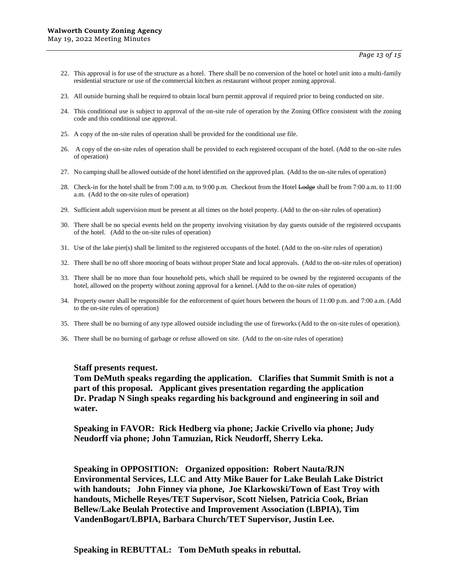- 22. This approval is for use of the structure as a hotel. There shall be no conversion of the hotel or hotel unit into a multi-family residential structure or use of the commercial kitchen as restaurant without proper zoning approval.
- 23. All outside burning shall be required to obtain local burn permit approval if required prior to being conducted on site.
- 24. This conditional use is subject to approval of the on-site rule of operation by the Zoning Office consistent with the zoning code and this conditional use approval.
- 25. A copy of the on-site rules of operation shall be provided for the conditional use file.
- 26. A copy of the on-site rules of operation shall be provided to each registered occupant of the hotel. (Add to the on-site rules of operation)
- 27. No camping shall be allowed outside of the hotel identified on the approved plan. (Add to the on-site rules of operation)
- 28. Check-in for the hotel shall be from 7:00 a.m. to 9:00 p.m. Checkout from the Hotel Lodge shall be from 7:00 a.m. to 11:00 a.m. (Add to the on-site rules of operation)
- 29. Sufficient adult supervision must be present at all times on the hotel property. (Add to the on-site rules of operation)
- 30. There shall be no special events held on the property involving visitation by day guests outside of the registered occupants of the hotel. (Add to the on-site rules of operation)
- 31. Use of the lake pier(s) shall be limited to the registered occupants of the hotel. (Add to the on-site rules of operation)
- 32. There shall be no off shore mooring of boats without proper State and local approvals. (Add to the on-site rules of operation)
- 33. There shall be no more than four household pets, which shall be required to be owned by the registered occupants of the hotel, allowed on the property without zoning approval for a kennel. (Add to the on-site rules of operation)
- 34. Property owner shall be responsible for the enforcement of quiet hours between the hours of 11:00 p.m. and 7:00 a.m. (Add to the on-site rules of operation)
- 35. There shall be no burning of any type allowed outside including the use of fireworks (Add to the on-site rules of operation).
- 36. There shall be no burning of garbage or refuse allowed on site. (Add to the on-site rules of operation)

#### **Staff presents request.**

**Tom DeMuth speaks regarding the application. Clarifies that Summit Smith is not a part of this proposal. Applicant gives presentation regarding the application Dr. Pradap N Singh speaks regarding his background and engineering in soil and water.**

**Speaking in FAVOR: Rick Hedberg via phone; Jackie Crivello via phone; Judy Neudorff via phone; John Tamuzian, Rick Neudorff, Sherry Leka.**

**Speaking in OPPOSITION: Organized opposition: Robert Nauta/RJN Environmental Services, LLC and Atty Mike Bauer for Lake Beulah Lake District with handouts; John Finney via phone, Joe Klarkowski/Town of East Troy with handouts, Michelle Reyes/TET Supervisor, Scott Nielsen, Patricia Cook, Brian Bellew/Lake Beulah Protective and Improvement Association (LBPIA), Tim VandenBogart/LBPIA, Barbara Church/TET Supervisor, Justin Lee.**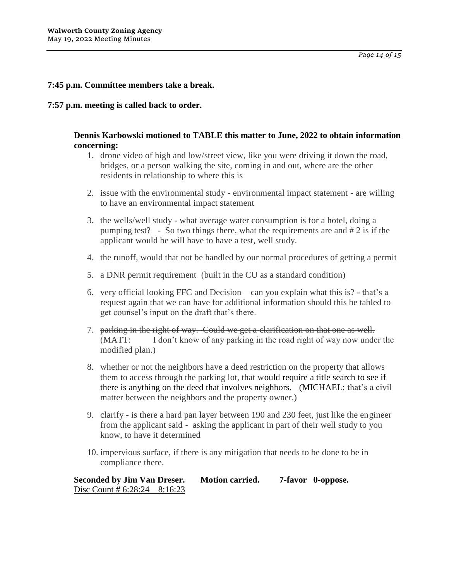## **7:45 p.m. Committee members take a break.**

#### **7:57 p.m. meeting is called back to order.**

### **Dennis Karbowski motioned to TABLE this matter to June, 2022 to obtain information concerning:**

- 1. drone video of high and low/street view, like you were driving it down the road, bridges, or a person walking the site, coming in and out, where are the other residents in relationship to where this is
- 2. issue with the environmental study environmental impact statement are willing to have an environmental impact statement
- 3. the wells/well study what average water consumption is for a hotel, doing a pumping test? - So two things there, what the requirements are and # 2 is if the applicant would be will have to have a test, well study.
- 4. the runoff, would that not be handled by our normal procedures of getting a permit
- 5. a DNR permit requirement (built in the CU as a standard condition)
- 6. very official looking FFC and Decision can you explain what this is? that's a request again that we can have for additional information should this be tabled to get counsel's input on the draft that's there.
- 7. parking in the right of way. Could we get a clarification on that one as well. (MATT: I don't know of any parking in the road right of way now under the modified plan.)
- 8. whether or not the neighbors have a deed restriction on the property that allows them to access through the parking lot, that would require a title search to see if there is anything on the deed that involves neighbors. (MICHAEL: that's a civil matter between the neighbors and the property owner.)
- 9. clarify is there a hard pan layer between 190 and 230 feet, just like the engineer from the applicant said - asking the applicant in part of their well study to you know, to have it determined
- 10. impervious surface, if there is any mitigation that needs to be done to be in compliance there.

**Seconded by Jim Van Dreser. Motion carried. 7-favor 0-oppose.**  Disc Count #  $6:28:24 - 8:16:23$